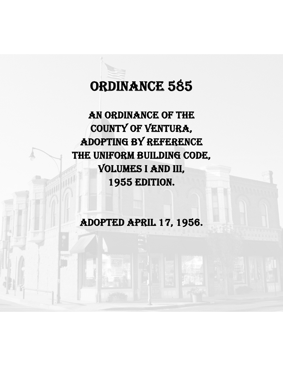# ORDINANCE 585

AN ORDINANCE OF THE COUNTY OF VENTURA, ADOPTING BY REFERENCE THE UNIFORM BUILDING CODE, VOLUMES I AND III, 1955 EDITION.

ADOPTED APRIL 17, 1956.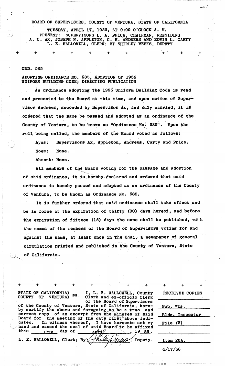# BOARD OF SUPERVISORS, COUNTY OF VENTURA, STATE OF CALIFORNIA

TUESDAY, APRIL 17, 1956, AT 9:00 O'CLOCK A. M. PRESENT: SUPERVISORS L. A. PRICE, CHAIRMAN, PRESIDING<br>A. C. AX, JOSEPH N. APPLETON, C. H. ANDREWS AND EDWIN L. CARTY<br>L. E. HALLOWELL, CLERK; BY SHIRLEY WEEKS, DEPUTY

### ORD. 585

## ADOPTING ORDINANCE NO. 585. ADOPTION OF 1955 UNIFORM BUILDING CODE; DIRECTING PUBLICATION

An ordinance adopting the 1955 Uniform Building Code is read and presented to the Board at this time, and upon motion of Supervisor Andrews, seconded by Supervisor Ax, and duly carried, it is ordered that the same be passed and adopted as an ordinance of the County of Ventura, to be known as "Ordinance No. 585". Upon the roll being called, the members of the Board voted as follows:

Supervisors Ax, Appleton, Andrews, Carty and Price. Aves:

Noes: None.

Absent: None.

All members of the Board voting for the passage and adoption of said ordinance, it is hereby declared and ordered that said ordinance is hereby passed and adopted as an ordinance of the County of Ventura, to be known as Ordinance No. 585.

It is further ordered that said ordinance shall take effect and be in force at the expiration of thirty (30) days hereof, and before the expiration of fifteen (15) days the same shall be published, with the names of the members of the Board of Supervisors voting for and against the same, at least once in The Ojai, a newspaper of general circulation printed and published in the County of Ventura, State of California.

STATE OF CALIFORNIA) ss.<br>COUNTY OF VENTURA) ss.

I, L. E. HALLOWELL, County<br>Clerk and ex-officio Clerk of the Board of Supervisors

Deputy.

of the County of Ventura, State of California, here-<br>by certify the above and foregoing to be a true and correct copy of an excerpt from the minutes of said Board for the meeting of the date first above indicated. In witness whereof, I have hereunto set my hand and caused the seal of said Board to be affixed this 17th day of  $19 \underline{56}$ . <u>Ant i $\ell$ </u>

L. E. HALLOWELL, Clerk; By

| <b>RECEIVED COPIES</b> |
|------------------------|
| Pub. Wks.              |
| <b>Bldg. Inspector</b> |
| File(2)                |
|                        |
| Item 20A.              |
| 4/17/56                |

4 ہے۔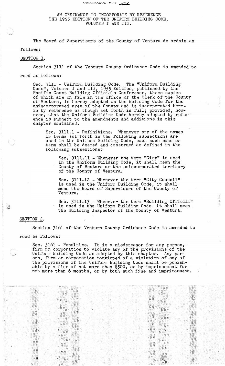# AN ORDINANCE TO INCORPORATE BY REFERENCE THE 1955 EDITION OF THE UNIFORM BUILDING CODE, VOLUMES I AND III.

'*נטן* יש המשפח שפרים

The Board of Supervisors of the County of Ventura do ordain as

follows:

### SECTION 1.

Section 3111 of the Ventura County Ordinance Code is amended to

read as follows:

Sec. 3111 - Uniform Building Code. The "Uniform Building Code", Volumes I and III, 1955 Edition, published by the Pacific Coast Building Officials Conference, three copies of which are on file in the office of the Clerk of the County of Ventura, is hereby adopted as the Building Code for the unincorporated area of the County and is incorporated herein by reference as though set forth in full; provided, however, that the Uniform Building Code hereby adopted by reference is subject to the amendments and additions in this chapter contained.

Sec. 3111.1 - Definitions. Whenever any of the names or terms set forth in the following subsections are used in the Uniform Building Code, each such name or term shall be deemed and construed as defined in the following. subsections:

Sec. 3111.11 - Whenever the term "City" is used sec. 3111.11 - whenever the term "Clty" is used<br>in the Uniform Building Code, it shall mean the County of Ventura or the unincorporated territory of the County of Ventura.

Sec. 3111.12 - Whenever the term "City Council" bec. bill. 2 - whenever the term "Clty Council"<br>is used in the Uniform Building Code, it shall mean the Board of Supervisors of the County of ·Ventura.

Sec. 3111.13 - Whenever the term "Building Official"<br>is used in the Uniform Building Code, it shall mean. the Building Inspector of the County of Ventura.

# SECTION 2.

**B** 

Section 3161 of the Ventura County Ordinance Code is amended to

read as follows:

Sec. 3161 - Penalties. It is a misdemeanor for any person, firm or corporation to violate any of the provisions of the Uniform Building Code as adopted by this chapter. Any person, firm or corporation convicted of a violation of any of the provisions of the Uniform Building Code shall be punishable by a fine of not more than \$500, or by imprisonment for not more than 6 months, or by both such fine and imprisonment.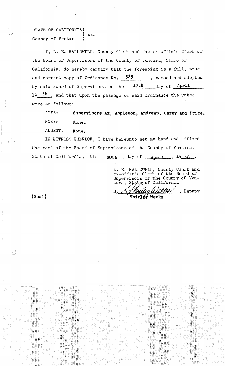STATE OF CALIFORNIA) ss. County of Ventura

I, L. E. HALLOWELL, County Clerk and the ex-officio Clerk of the Board of Supervisors of the County of Ventura, State of California, do hereby certify that the foregoing is a full, true and correct copy of Ordinance No. **585 ,** passed and adopted by said Board of Supervisors on the 17th day of April 19 **56** , and that upon the passage of said ordinance the votes were as follows:

AYES: NOES: **Supervisors Ax, Appleton, Andrews, Carty and Price. Hone.**

ABSENT: **Hone.**

IN WITNESS WHEREOF, I have hereunto set my hand and affixed the seal of the Board of Supervisors of the County of Ventura, State of California, this  $20th$  day of  $Anri1$ ,  $19.56$ .

By'

L. E. HALLOWELL, County Clerk and ex-officio Clerk of the Board of Supervisors of the County of Ventura, Stete of California

Mull

Shirler Weeks

1 Weens peputy.

**(Seal)**